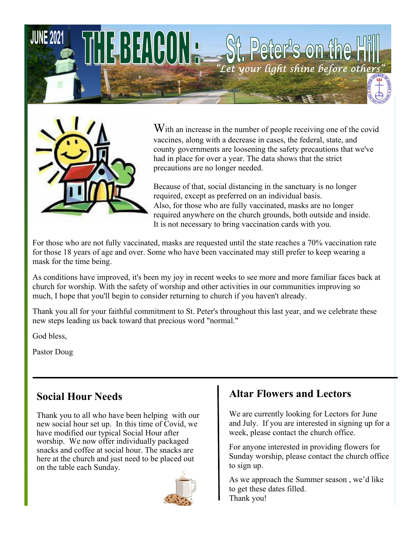



With an increase in the number of people receiving one of the covid vaccines, along with a decrease in cases, the federal, state, and county governments are loosening the safety precautions that we've had in place for over a year. The data shows that the strict precautions are no longer needed.

Because of that, social distancing in the sanctuary is no longer required, except as preferred on an individual basis. Also, for those who are fully vaccinated, masks are no longer required anywhere on the church grounds, both outside and inside. It is not necessary to bring vaccination cards with you.

For those who are not fully vaccinated, masks are requested until the state reaches a 70% vaccination rate for those 18 years of age and over. Some who have been vaccinated may still prefer to keep wearing a mask for the time being.

As conditions have improved, it's been my joy in recent weeks to see more and more familiar faces back at church for worship. With the safety of worship and other activities in our communities improving so much, I hope that you'll begin to consider returning to church if you haven't already.

Thank you all for your faithful commitment to St. Peter's throughout this last year, and we celebrate these new steps leading us back toward that precious word "normal."

God bless,

Pastor Doug

# **Social Hour Needs**

Thank you to all who have been helping with our new social hour set up. In this time of Covid, we have modified our typical Social Hour after worship. We now offer individually packaged snacks and coffee at social hour. The snacks are here at the church and just need to be placed out on the table each Sunday.



# **Altar Flowers and Lectors**

We are currently looking for Lectors for June and July. If you are interested in signing up for a week, please contact the church office.

For anyone interested in providing flowers for Sunday worship, please contact the church office to sign up.

As we approach the Summer season , we'd like to get these dates filled. Thank you!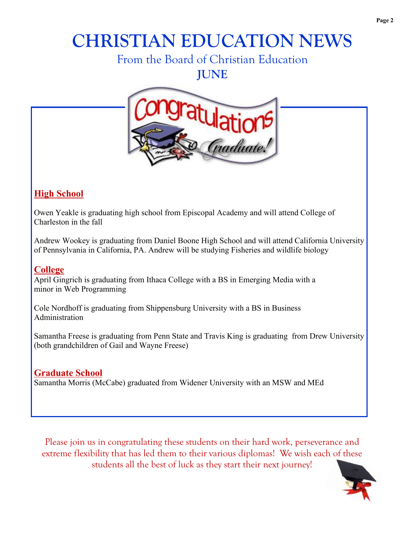# **CHRISTIAN EDUCATION NEWS**

# From the Board of Christian Education

**JUNE**



## **High School**

Owen Yeakle is graduating high school from Episcopal Academy and will attend College of Charleston in the fall

Andrew Wookey is graduating from Daniel Boone High School and will attend California University of Pennsylvania in California, PA. Andrew will be studying Fisheries and wildlife biology

#### **College**

April Gingrich is graduating from Ithaca College with a BS in Emerging Media with a minor in Web Programming

Cole Nordhoff is graduating from Shippensburg University with a BS in Business Administration

Samantha Freese is graduating from Penn State and Travis King is graduating from Drew University (both grandchildren of Gail and Wayne Freese)

### **Graduate School**

Samantha Morris (McCabe) graduated from Widener University with an MSW and MEd

Please join us in congratulating these students on their hard work, perseverance and extreme flexibility that has led them to their various diplomas! We wish each of these students all the best of luck as they start their next journey!

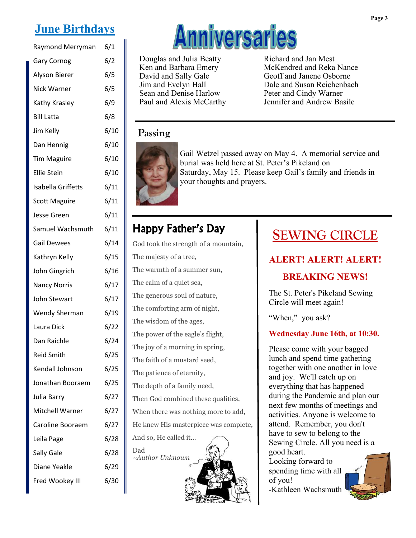# **June Birthdays**

| Raymond Merryman          | 6/1  |
|---------------------------|------|
| <b>Gary Cornog</b>        | 6/2  |
| Alyson Bierer             | 6/5  |
| Nick Warner               | 6/5  |
| Kathy Krasley             | 6/9  |
| <b>Bill Latta</b>         | 6/8  |
| Jim Kelly                 | 6/10 |
| Dan Hennig                | 6/10 |
| <b>Tim Maguire</b>        | 6/10 |
| <b>Ellie Stein</b>        | 6/10 |
| <b>Isabella Griffetts</b> | 6/11 |
| <b>Scott Maguire</b>      | 6/11 |
| Jesse Green               | 6/11 |
| Samuel Wachsmuth          | 6/11 |
| <b>Gail Dewees</b>        | 6/14 |
| Kathryn Kelly             | 6/15 |
| John Gingrich             | 6/16 |
| <b>Nancy Norris</b>       | 6/17 |
| John Stewart              | 6/17 |
| <b>Wendy Sherman</b>      | 6/19 |
| Laura Dick                | 6/22 |
| Dan Raichle               | 6/24 |
| <b>Reid Smith</b>         | 6/25 |
| Kendall Johnson           | 6/25 |
| Jonathan Booraem          | 6/25 |
| Julia Barry               | 6/27 |
| Mitchell Warner           | 6/27 |
| Caroline Booraem          | 6/27 |
| Leila Page                | 6/28 |
| Sally Gale                | 6/28 |
| Diane Yeakle              | 6/29 |
| Fred Wookey III           | 6/30 |



Douglas and Julia Beatty Ken and Barbara Emery David and Sally Gale Jim and Evelyn Hall Sean and Denise Harlow Paul and Alexis McCarthy Richard and Jan Mest McKendred and Reka Nance Geoff and Janene Osborne Dale and Susan Reichenbach Peter and Cindy Warner Jennifer and Andrew Basile

#### **Passing**



Gail Wetzel passed away on May 4. A memorial service and burial was held here at St. Peter's Pikeland on Saturday, May 15. Please keep Gail's family and friends in your thoughts and prayers.

# Happy Father's Day

God took the strength of a mountain, The majesty of a tree, The warmth of a summer sun, The calm of a quiet sea, The generous soul of nature, The comforting arm of night, The wisdom of the ages, The power of the eagle's flight, The joy of a morning in spring, The faith of a mustard seed, The patience of eternity, The depth of a family need, Then God combined these qualities, When there was nothing more to add, He knew His masterpiece was complete, And so, He called it… Dad *~Author Unknown*

# **SEWING CIRCLE**

### **ALERT! ALERT! ALERT!**

### **BREAKING NEWS!**

The St. Peter's Pikeland Sewing Circle will meet again!

"When," you ask?

#### **Wednesday June 16th, at 10:30.**

Please come with your bagged lunch and spend time gathering together with one another in love and joy. We'll catch up on everything that has happened during the Pandemic and plan our next few months of meetings and activities. Anyone is welcome to attend. Remember, you don't have to sew to belong to the Sewing Circle. All you need is a good heart.

Looking forward to spending time with all of you! -Kathleen Wachsmuth